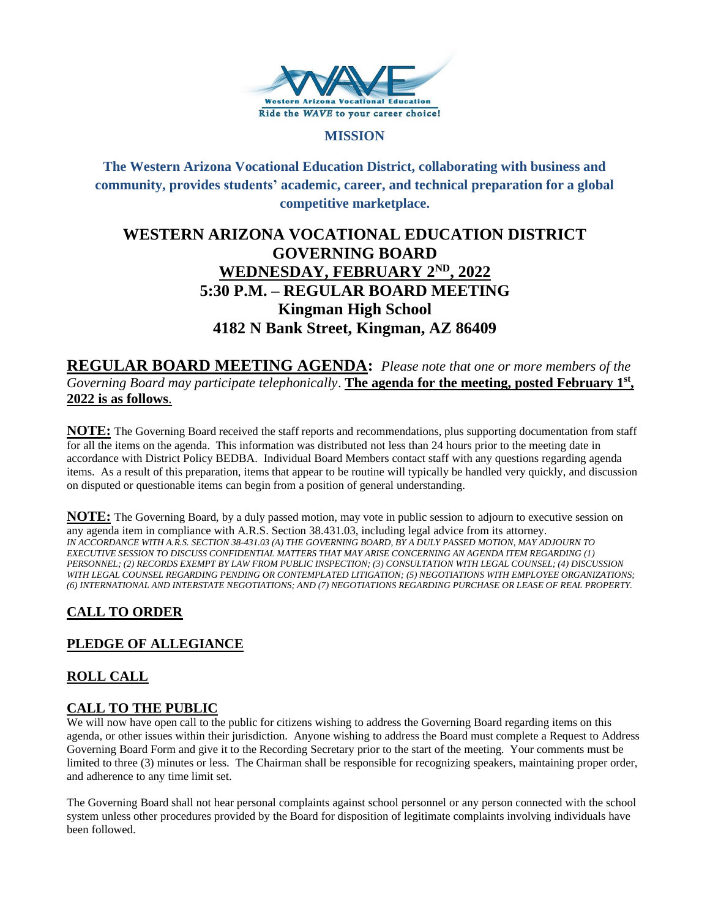

#### **MISSION**

## **The Western Arizona Vocational Education District, collaborating with business and community, provides students' academic, career, and technical preparation for a global competitive marketplace.**

# **WESTERN ARIZONA VOCATIONAL EDUCATION DISTRICT GOVERNING BOARD WEDNESDAY, FEBRUARY 2ND , 2022 5:30 P.M. – REGULAR BOARD MEETING Kingman High School 4182 N Bank Street, Kingman, AZ 86409**

**REGULAR BOARD MEETING AGENDA:** *Please note that one or more members of the Governing Board may participate telephonically*. **The agenda for the meeting, posted February 1st , 2022 is as follows**.

**NOTE:** The Governing Board received the staff reports and recommendations, plus supporting documentation from staff for all the items on the agenda. This information was distributed not less than 24 hours prior to the meeting date in accordance with District Policy BEDBA. Individual Board Members contact staff with any questions regarding agenda items. As a result of this preparation, items that appear to be routine will typically be handled very quickly, and discussion on disputed or questionable items can begin from a position of general understanding.

**NOTE:** The Governing Board, by a duly passed motion, may vote in public session to adjourn to executive session on any agenda item in compliance with A.R.S. Section 38.431.03, including legal advice from its attorney. *IN ACCORDANCE WITH A.R.S. SECTION 38-431.03 (A) THE GOVERNING BOARD, BY A DULY PASSED MOTION, MAY ADJOURN TO EXECUTIVE SESSION TO DISCUSS CONFIDENTIAL MATTERS THAT MAY ARISE CONCERNING AN AGENDA ITEM REGARDING (1) PERSONNEL; (2) RECORDS EXEMPT BY LAW FROM PUBLIC INSPECTION; (3) CONSULTATION WITH LEGAL COUNSEL; (4) DISCUSSION WITH LEGAL COUNSEL REGARDING PENDING OR CONTEMPLATED LITIGATION; (5) NEGOTIATIONS WITH EMPLOYEE ORGANIZATIONS; (6) INTERNATIONAL AND INTERSTATE NEGOTIATIONS; AND (7) NEGOTIATIONS REGARDING PURCHASE OR LEASE OF REAL PROPERTY.*

# **CALL TO ORDER**

## **PLEDGE OF ALLEGIANCE**

## **ROLL CALL**

### **CALL TO THE PUBLIC**

We will now have open call to the public for citizens wishing to address the Governing Board regarding items on this agenda, or other issues within their jurisdiction. Anyone wishing to address the Board must complete a Request to Address Governing Board Form and give it to the Recording Secretary prior to the start of the meeting. Your comments must be limited to three (3) minutes or less. The Chairman shall be responsible for recognizing speakers, maintaining proper order, and adherence to any time limit set.

The Governing Board shall not hear personal complaints against school personnel or any person connected with the school system unless other procedures provided by the Board for disposition of legitimate complaints involving individuals have been followed.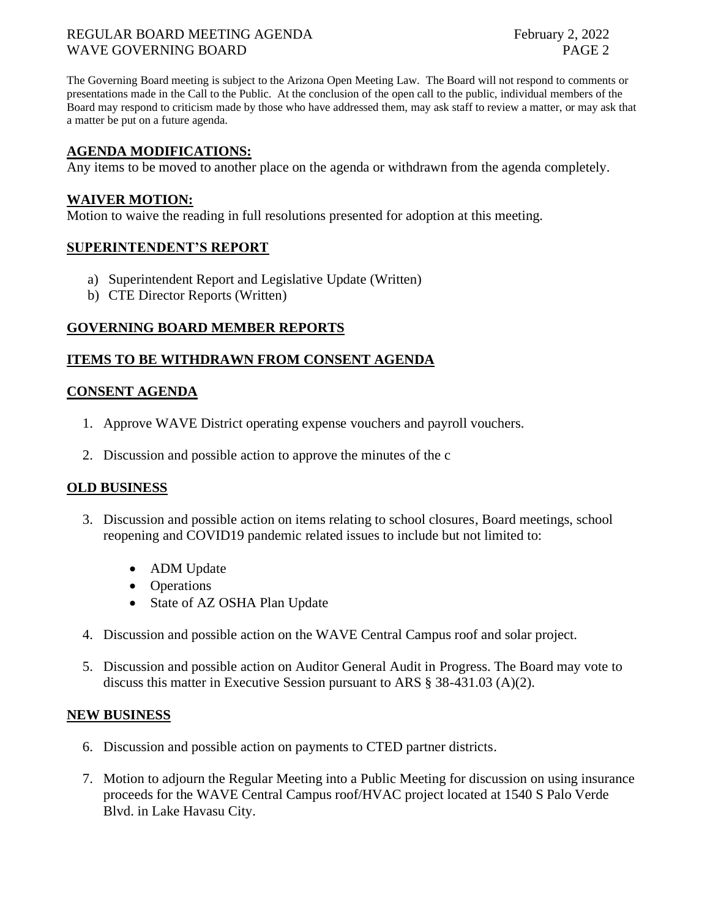#### REGULAR BOARD MEETING AGENDA February 2, 2022 WAVE GOVERNING BOARD **PAGE 2**

The Governing Board meeting is subject to the Arizona Open Meeting Law. The Board will not respond to comments or presentations made in the Call to the Public. At the conclusion of the open call to the public, individual members of the Board may respond to criticism made by those who have addressed them, may ask staff to review a matter, or may ask that a matter be put on a future agenda.

#### **AGENDA MODIFICATIONS:**

Any items to be moved to another place on the agenda or withdrawn from the agenda completely.

#### **WAIVER MOTION:**

Motion to waive the reading in full resolutions presented for adoption at this meeting.

#### **SUPERINTENDENT'S REPORT**

- a) Superintendent Report and Legislative Update (Written)
- b) CTE Director Reports (Written)

#### **GOVERNING BOARD MEMBER REPORTS**

#### **ITEMS TO BE WITHDRAWN FROM CONSENT AGENDA**

#### **CONSENT AGENDA**

- 1. Approve WAVE District operating expense vouchers and payroll vouchers.
- 2. Discussion and possible action to approve the minutes of the c

#### **OLD BUSINESS**

- 3. Discussion and possible action on items relating to school closures, Board meetings, school reopening and COVID19 pandemic related issues to include but not limited to:
	- ADM Update
	- Operations
	- State of AZ OSHA Plan Update
- 4. Discussion and possible action on the WAVE Central Campus roof and solar project.
- 5. Discussion and possible action on Auditor General Audit in Progress. The Board may vote to discuss this matter in Executive Session pursuant to ARS § 38-431.03 (A)(2).

#### **NEW BUSINESS**

- 6. Discussion and possible action on payments to CTED partner districts.
- 7. Motion to adjourn the Regular Meeting into a Public Meeting for discussion on using insurance proceeds for the WAVE Central Campus roof/HVAC project located at 1540 S Palo Verde Blvd. in Lake Havasu City.